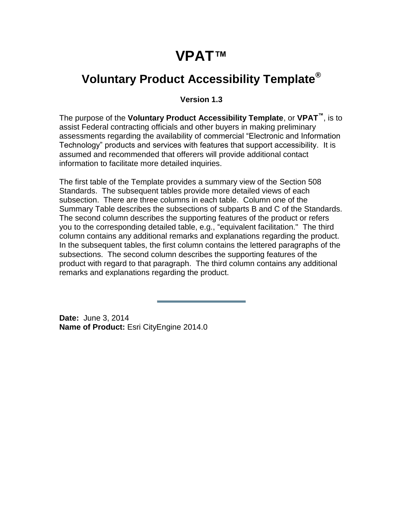# **VPAT™**

#### **Voluntary Product Accessibility Template®**

#### **Version 1.3**

The purpose of the **Voluntary Product Accessibility Template**, or **VPAT™**, is to assist Federal contracting officials and other buyers in making preliminary assessments regarding the availability of commercial "Electronic and Information Technology" products and services with features that support accessibility. It is assumed and recommended that offerers will provide additional contact information to facilitate more detailed inquiries.

The first table of the Template provides a summary view of the Section 508 Standards. The subsequent tables provide more detailed views of each subsection. There are three columns in each table. Column one of the Summary Table describes the subsections of subparts B and C of the Standards. The second column describes the supporting features of the product or refers you to the corresponding detailed table, e.g., "equivalent facilitation." The third column contains any additional remarks and explanations regarding the product. In the subsequent tables, the first column contains the lettered paragraphs of the subsections. The second column describes the supporting features of the product with regard to that paragraph. The third column contains any additional remarks and explanations regarding the product.

**Date:** June 3, 2014 **Name of Product:** Esri CityEngine 2014.0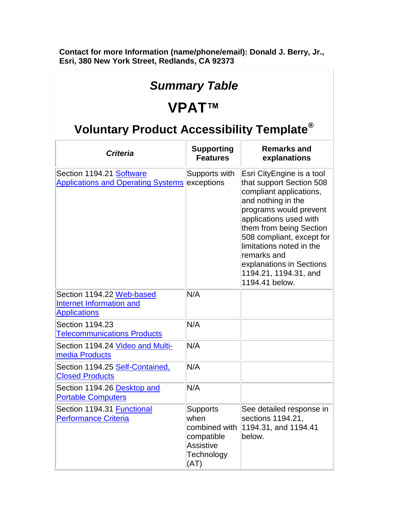**Contact for more Information (name/phone/email): Donald J. Berry, Jr., Esri, 380 New York Street, Redlands, CA 92373**

#### *Summary Table*

# **VPAT™**

| <b>Criteria</b>                                                              | <b>Supporting</b><br><b>Features</b>                                                             | <b>Remarks and</b><br>explanations                                                                                                                                                                                                                                                                                                   |
|------------------------------------------------------------------------------|--------------------------------------------------------------------------------------------------|--------------------------------------------------------------------------------------------------------------------------------------------------------------------------------------------------------------------------------------------------------------------------------------------------------------------------------------|
| Section 1194.21 Software<br><b>Applications and Operating Systems</b>        | Supports with<br>exceptions                                                                      | Esri CityEngine is a tool<br>that support Section 508<br>compliant applications,<br>and nothing in the<br>programs would prevent<br>applications used with<br>them from being Section<br>508 compliant, except for<br>limitations noted in the<br>remarks and<br>explanations in Sections<br>1194.21, 1194.31, and<br>1194.41 below. |
| Section 1194.22 Web-based<br>Internet Information and<br><b>Applications</b> | N/A                                                                                              |                                                                                                                                                                                                                                                                                                                                      |
| Section 1194.23<br><b>Telecommunications Products</b>                        | N/A                                                                                              |                                                                                                                                                                                                                                                                                                                                      |
| Section 1194.24 Video and Multi-<br>media Products                           | N/A                                                                                              |                                                                                                                                                                                                                                                                                                                                      |
| Section 1194.25 Self-Contained,<br><b>Closed Products</b>                    | N/A                                                                                              |                                                                                                                                                                                                                                                                                                                                      |
| Section 1194.26 Desktop and<br><b>Portable Computers</b>                     | N/A                                                                                              |                                                                                                                                                                                                                                                                                                                                      |
| Section 1194.31 Functional<br><b>Performance Criteria</b>                    | <b>Supports</b><br>when<br>combined with<br>compatible<br><b>Assistive</b><br>Technology<br>(AT) | See detailed response in<br>sections 1194.21,<br>1194.31, and 1194.41<br>below.                                                                                                                                                                                                                                                      |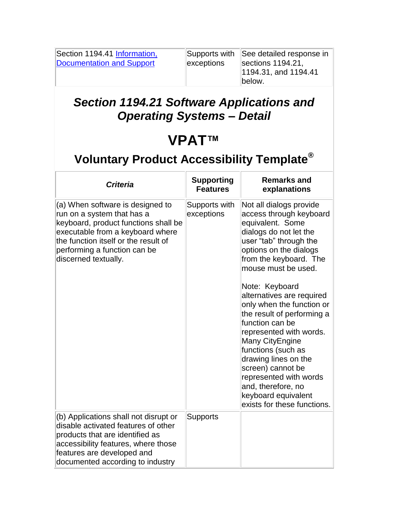Section 1194.41 Information, Documentation and Support

See detailed response in sections 1194.21, 1194.31, and 1194.41 below.

#### *Section 1194.21 Software Applications and Operating Systems – Detail*

# **VPAT™**

| <b>Criteria</b>                                                                                                                                                                                                                            | <b>Supporting</b><br><b>Features</b> | <b>Remarks and</b><br>explanations                                                                                                                                                                                                                                                                                                                                                                                                                                                                                                                        |
|--------------------------------------------------------------------------------------------------------------------------------------------------------------------------------------------------------------------------------------------|--------------------------------------|-----------------------------------------------------------------------------------------------------------------------------------------------------------------------------------------------------------------------------------------------------------------------------------------------------------------------------------------------------------------------------------------------------------------------------------------------------------------------------------------------------------------------------------------------------------|
| (a) When software is designed to<br>run on a system that has a<br>keyboard, product functions shall be<br>executable from a keyboard where<br>the function itself or the result of<br>performing a function can be<br>discerned textually. | Supports with<br>exceptions          | Not all dialogs provide<br>access through keyboard<br>equivalent. Some<br>dialogs do not let the<br>user "tab" through the<br>options on the dialogs<br>from the keyboard. The<br>mouse must be used.<br>Note: Keyboard<br>alternatives are required<br>only when the function or<br>the result of performing a<br>function can be<br>represented with words.<br>Many CityEngine<br>functions (such as<br>drawing lines on the<br>screen) cannot be<br>represented with words<br>and, therefore, no<br>keyboard equivalent<br>exists for these functions. |
| (b) Applications shall not disrupt or<br>disable activated features of other<br>products that are identified as<br>accessibility features, where those<br>features are developed and<br>documented according to industry                   | <b>Supports</b>                      |                                                                                                                                                                                                                                                                                                                                                                                                                                                                                                                                                           |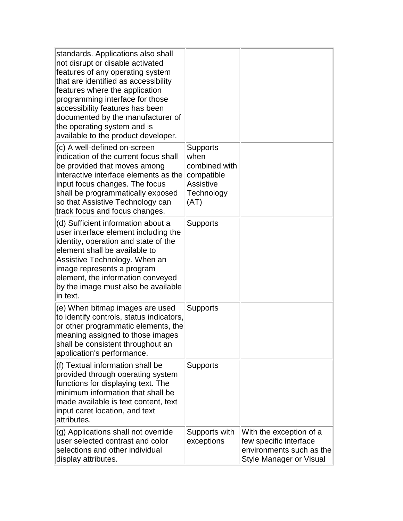| standards. Applications also shall<br>not disrupt or disable activated<br>features of any operating system<br>that are identified as accessibility<br>features where the application<br>programming interface for those<br>accessibility features has been<br>documented by the manufacturer of<br>the operating system and is<br>available to the product developer. |                                                                                    |                                                                                                          |
|-----------------------------------------------------------------------------------------------------------------------------------------------------------------------------------------------------------------------------------------------------------------------------------------------------------------------------------------------------------------------|------------------------------------------------------------------------------------|----------------------------------------------------------------------------------------------------------|
| (c) A well-defined on-screen<br>indication of the current focus shall<br>be provided that moves among<br>interactive interface elements as the<br>input focus changes. The focus<br>shall be programmatically exposed<br>so that Assistive Technology can<br>track focus and focus changes.                                                                           | Supports<br>when<br>combined with<br>compatible<br>Assistive<br>Technology<br>(AT) |                                                                                                          |
| (d) Sufficient information about a<br>user interface element including the<br>identity, operation and state of the<br>element shall be available to<br>Assistive Technology. When an<br>image represents a program<br>element, the information conveyed<br>by the image must also be available<br>in text.                                                            | <b>Supports</b>                                                                    |                                                                                                          |
| (e) When bitmap images are used<br>to identify controls, status indicators,<br>or other programmatic elements, the<br>meaning assigned to those images<br>shall be consistent throughout an<br>application's performance.                                                                                                                                             | <b>Supports</b>                                                                    |                                                                                                          |
| (f) Textual information shall be<br>provided through operating system<br>functions for displaying text. The<br>minimum information that shall be<br>made available is text content, text<br>input caret location, and text<br>attributes.                                                                                                                             | Supports                                                                           |                                                                                                          |
| (g) Applications shall not override<br>user selected contrast and color<br>selections and other individual<br>display attributes.                                                                                                                                                                                                                                     | Supports with<br>exceptions                                                        | With the exception of a<br>few specific interface<br>environments such as the<br>Style Manager or Visual |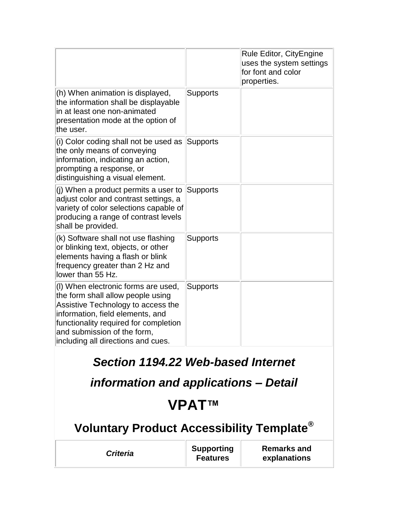|                                                                                                                                                                                                                                                                  |                 | Rule Editor, CityEngine<br>uses the system settings<br>for font and color<br>properties. |
|------------------------------------------------------------------------------------------------------------------------------------------------------------------------------------------------------------------------------------------------------------------|-----------------|------------------------------------------------------------------------------------------|
| (h) When animation is displayed,<br>the information shall be displayable<br>in at least one non-animated<br>presentation mode at the option of<br>the user.                                                                                                      | <b>Supports</b> |                                                                                          |
| (i) Color coding shall not be used as<br>the only means of conveying<br>information, indicating an action,<br>prompting a response, or<br>distinguishing a visual element.                                                                                       | Supports        |                                                                                          |
| (i) When a product permits a user to<br>adjust color and contrast settings, a<br>variety of color selections capable of<br>producing a range of contrast levels<br>shall be provided.                                                                            | <b>Supports</b> |                                                                                          |
| (k) Software shall not use flashing<br>or blinking text, objects, or other<br>elements having a flash or blink<br>frequency greater than 2 Hz and<br>lower than 55 Hz.                                                                                           | <b>Supports</b> |                                                                                          |
| (I) When electronic forms are used,<br>the form shall allow people using<br>Assistive Technology to access the<br>information, field elements, and<br>functionality required for completion<br>and submission of the form,<br>including all directions and cues. | <b>Supports</b> |                                                                                          |
| <b>Section 1194.22 Web-based Internet</b>                                                                                                                                                                                                                        |                 |                                                                                          |

*information and applications – Detail*

# **VPAT™**

| <b>Criteria</b> | Supporting<br><b>Features</b> | <b>Remarks and</b><br>explanations |
|-----------------|-------------------------------|------------------------------------|
|-----------------|-------------------------------|------------------------------------|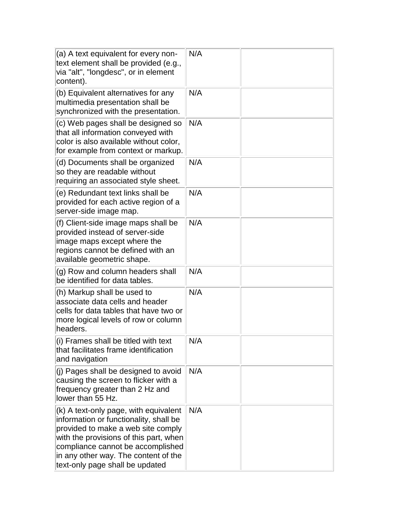| (a) A text equivalent for every non-<br>text element shall be provided (e.g.,<br>via "alt", "longdesc", or in element<br>content).                                                                                                                                              | N/A |  |
|---------------------------------------------------------------------------------------------------------------------------------------------------------------------------------------------------------------------------------------------------------------------------------|-----|--|
| (b) Equivalent alternatives for any<br>multimedia presentation shall be<br>synchronized with the presentation.                                                                                                                                                                  | N/A |  |
| (c) Web pages shall be designed so<br>that all information conveyed with<br>color is also available without color,<br>for example from context or markup.                                                                                                                       | N/A |  |
| (d) Documents shall be organized<br>so they are readable without<br>requiring an associated style sheet.                                                                                                                                                                        | N/A |  |
| (e) Redundant text links shall be<br>provided for each active region of a<br>server-side image map.                                                                                                                                                                             | N/A |  |
| (f) Client-side image maps shall be<br>provided instead of server-side<br>image maps except where the<br>regions cannot be defined with an<br>available geometric shape.                                                                                                        | N/A |  |
| (g) Row and column headers shall<br>be identified for data tables.                                                                                                                                                                                                              | N/A |  |
| (h) Markup shall be used to<br>associate data cells and header<br>cells for data tables that have two or<br>more logical levels of row or column<br>headers.                                                                                                                    | N/A |  |
| (i) Frames shall be titled with text<br>that facilitates frame identification<br>and navigation                                                                                                                                                                                 | N/A |  |
| (j) Pages shall be designed to avoid<br>causing the screen to flicker with a<br>frequency greater than 2 Hz and<br>lower than 55 Hz.                                                                                                                                            | N/A |  |
| (k) A text-only page, with equivalent<br>information or functionality, shall be<br>provided to make a web site comply<br>with the provisions of this part, when<br>compliance cannot be accomplished<br>in any other way. The content of the<br>text-only page shall be updated | N/A |  |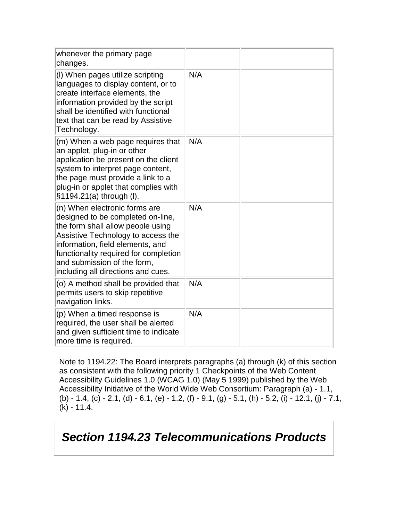| whenever the primary page<br>changes.                                                                                                                                                                                                                                                           |     |  |
|-------------------------------------------------------------------------------------------------------------------------------------------------------------------------------------------------------------------------------------------------------------------------------------------------|-----|--|
| (I) When pages utilize scripting<br>languages to display content, or to<br>create interface elements, the<br>information provided by the script<br>shall be identified with functional<br>text that can be read by Assistive<br>Technology.                                                     | N/A |  |
| (m) When a web page requires that<br>an applet, plug-in or other<br>application be present on the client<br>system to interpret page content,<br>the page must provide a link to a<br>plug-in or applet that complies with<br>§1194.21(a) through (I).                                          | N/A |  |
| (n) When electronic forms are<br>designed to be completed on-line,<br>the form shall allow people using<br>Assistive Technology to access the<br>information, field elements, and<br>functionality required for completion<br>and submission of the form,<br>including all directions and cues. | N/A |  |
| (o) A method shall be provided that<br>permits users to skip repetitive<br>navigation links.                                                                                                                                                                                                    | N/A |  |
| (p) When a timed response is<br>required, the user shall be alerted<br>and given sufficient time to indicate<br>more time is required.                                                                                                                                                          | N/A |  |

Note to 1194.22: The Board interprets paragraphs (a) through (k) of this section as consistent with the following priority 1 Checkpoints of the Web Content Accessibility Guidelines 1.0 (WCAG 1.0) (May 5 1999) published by the Web Accessibility Initiative of the World Wide Web Consortium: Paragraph (a) - 1.1, (b) - 1.4, (c) - 2.1, (d) - 6.1, (e) - 1.2, (f) - 9.1, (g) - 5.1, (h) - 5.2, (i) - 12.1, (j) - 7.1,  $(k) - 11.4.$ 

#### *Section 1194.23 Telecommunications Products*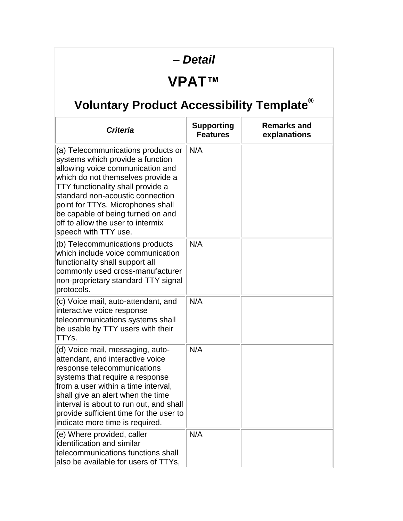# *– Detail*

#### **VPAT™**

| <b>Criteria</b>                                                                                                                                                                                                                                                                                                                                                 | <b>Supporting</b><br><b>Features</b> | <b>Remarks and</b><br>explanations |
|-----------------------------------------------------------------------------------------------------------------------------------------------------------------------------------------------------------------------------------------------------------------------------------------------------------------------------------------------------------------|--------------------------------------|------------------------------------|
| (a) Telecommunications products or<br>systems which provide a function<br>allowing voice communication and<br>which do not themselves provide a<br>TTY functionality shall provide a<br>standard non-acoustic connection<br>point for TTYs. Microphones shall<br>be capable of being turned on and<br>off to allow the user to intermix<br>speech with TTY use. | N/A                                  |                                    |
| (b) Telecommunications products<br>which include voice communication<br>functionality shall support all<br>commonly used cross-manufacturer<br>non-proprietary standard TTY signal<br>protocols.                                                                                                                                                                | N/A                                  |                                    |
| (c) Voice mail, auto-attendant, and<br>interactive voice response<br>telecommunications systems shall<br>be usable by TTY users with their<br>TTYs.                                                                                                                                                                                                             | N/A                                  |                                    |
| (d) Voice mail, messaging, auto-<br>attendant, and interactive voice<br>response telecommunications<br>systems that require a response<br>from a user within a time interval,<br>shall give an alert when the time<br>interval is about to run out, and shall<br>provide sufficient time for the user to<br>indicate more time is required.                     | N/A                                  |                                    |
| (e) Where provided, caller<br>identification and similar<br>telecommunications functions shall<br>also be available for users of TTYs,                                                                                                                                                                                                                          | N/A                                  |                                    |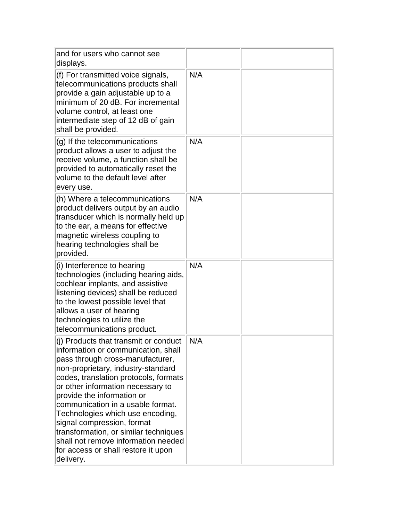| and for users who cannot see<br>displays.                                                                                                                                                                                                                                                                                                                                                                                                                                                                     |     |  |
|---------------------------------------------------------------------------------------------------------------------------------------------------------------------------------------------------------------------------------------------------------------------------------------------------------------------------------------------------------------------------------------------------------------------------------------------------------------------------------------------------------------|-----|--|
| (f) For transmitted voice signals,<br>telecommunications products shall<br>provide a gain adjustable up to a<br>minimum of 20 dB. For incremental<br>volume control, at least one<br>intermediate step of 12 dB of gain<br>shall be provided.                                                                                                                                                                                                                                                                 | N/A |  |
| (g) If the telecommunications<br>product allows a user to adjust the<br>receive volume, a function shall be<br>provided to automatically reset the<br>volume to the default level after<br>every use.                                                                                                                                                                                                                                                                                                         | N/A |  |
| (h) Where a telecommunications<br>product delivers output by an audio<br>transducer which is normally held up<br>to the ear, a means for effective<br>magnetic wireless coupling to<br>hearing technologies shall be<br>provided.                                                                                                                                                                                                                                                                             | N/A |  |
| (i) Interference to hearing<br>technologies (including hearing aids,<br>cochlear implants, and assistive<br>listening devices) shall be reduced<br>to the lowest possible level that<br>allows a user of hearing<br>technologies to utilize the<br>telecommunications product.                                                                                                                                                                                                                                | N/A |  |
| (j) Products that transmit or conduct<br>information or communication, shall<br>pass through cross-manufacturer,<br>non-proprietary, industry-standard<br>codes, translation protocols, formats<br>or other information necessary to<br>provide the information or<br>communication in a usable format.<br>Technologies which use encoding,<br>signal compression, format<br>transformation, or similar techniques<br>shall not remove information needed<br>for access or shall restore it upon<br>delivery. | N/A |  |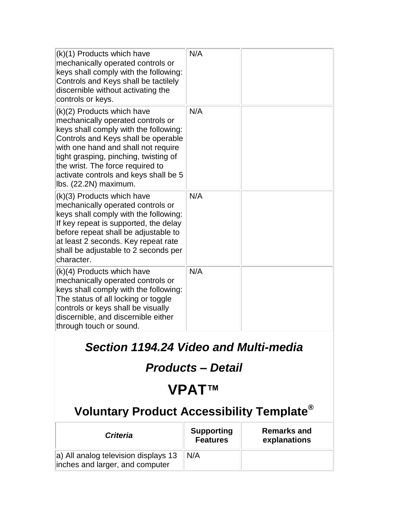| (k)(1) Products which have<br>mechanically operated controls or<br>keys shall comply with the following:<br>Controls and Keys shall be tactilely<br>discernible without activating the<br>controls or keys.                                                                                                                           | N/A |  |
|---------------------------------------------------------------------------------------------------------------------------------------------------------------------------------------------------------------------------------------------------------------------------------------------------------------------------------------|-----|--|
| (k)(2) Products which have<br>mechanically operated controls or<br>keys shall comply with the following:<br>Controls and Keys shall be operable<br>with one hand and shall not require<br>tight grasping, pinching, twisting of<br>the wrist. The force required to<br>activate controls and keys shall be 5<br>lbs. (22.2N) maximum. | N/A |  |
| (k)(3) Products which have<br>mechanically operated controls or<br>keys shall comply with the following:<br>If key repeat is supported, the delay<br>before repeat shall be adjustable to<br>at least 2 seconds. Key repeat rate<br>shall be adjustable to 2 seconds per<br>character.                                                | N/A |  |
| (k)(4) Products which have<br>mechanically operated controls or<br>keys shall comply with the following:<br>The status of all locking or toggle<br>controls or keys shall be visually<br>discernible, and discernible either<br>through touch or sound.                                                                               | N/A |  |

### *Section 1194.24 Video and Multi-media*

#### *Products – Detail*

# **VPAT™**

| <b>Criteria</b>                                                         | <b>Supporting</b><br><b>Features</b> | <b>Remarks and</b><br>explanations |
|-------------------------------------------------------------------------|--------------------------------------|------------------------------------|
| a) All analog television displays 13<br>inches and larger, and computer | N/A                                  |                                    |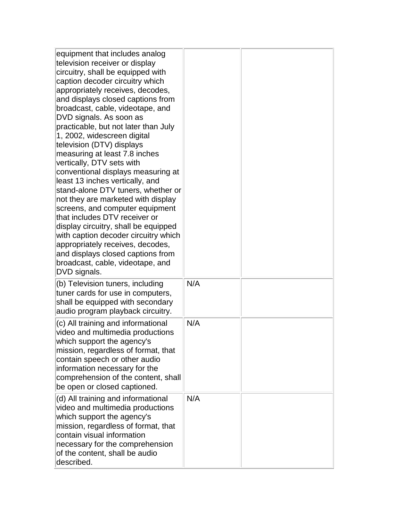| equipment that includes analog<br>television receiver or display<br>circuitry, shall be equipped with<br>caption decoder circuitry which<br>appropriately receives, decodes,<br>and displays closed captions from<br>broadcast, cable, videotape, and<br>DVD signals. As soon as<br>practicable, but not later than July<br>1, 2002, widescreen digital<br>television (DTV) displays<br>measuring at least 7.8 inches<br>vertically, DTV sets with<br>conventional displays measuring at<br>least 13 inches vertically, and<br>stand-alone DTV tuners, whether or<br>not they are marketed with display<br>screens, and computer equipment<br>that includes DTV receiver or<br>display circuitry, shall be equipped<br>with caption decoder circuitry which<br>appropriately receives, decodes,<br>and displays closed captions from<br>broadcast, cable, videotape, and<br>DVD signals. |     |  |
|------------------------------------------------------------------------------------------------------------------------------------------------------------------------------------------------------------------------------------------------------------------------------------------------------------------------------------------------------------------------------------------------------------------------------------------------------------------------------------------------------------------------------------------------------------------------------------------------------------------------------------------------------------------------------------------------------------------------------------------------------------------------------------------------------------------------------------------------------------------------------------------|-----|--|
| (b) Television tuners, including<br>tuner cards for use in computers,<br>shall be equipped with secondary<br>audio program playback circuitry.                                                                                                                                                                                                                                                                                                                                                                                                                                                                                                                                                                                                                                                                                                                                           | N/A |  |
| (c) All training and informational<br>video and multimedia productions<br>which support the agency's<br>mission, regardless of format, that<br>contain speech or other audio<br>information necessary for the<br>comprehension of the content, shall<br>be open or closed captioned.                                                                                                                                                                                                                                                                                                                                                                                                                                                                                                                                                                                                     | N/A |  |
| (d) All training and informational<br>video and multimedia productions<br>which support the agency's<br>mission, regardless of format, that<br>contain visual information<br>necessary for the comprehension<br>of the content, shall be audio<br>described.                                                                                                                                                                                                                                                                                                                                                                                                                                                                                                                                                                                                                             | N/A |  |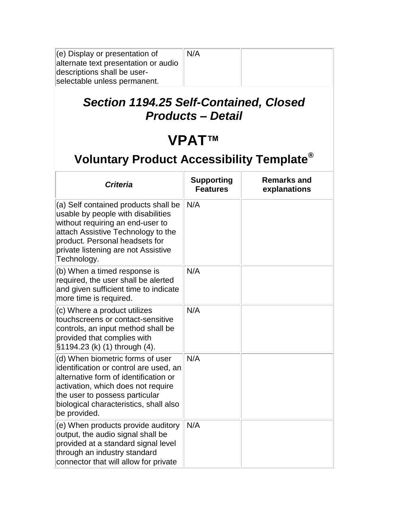| $(e)$ Display or presentation of     | N/A |  |
|--------------------------------------|-----|--|
| alternate text presentation or audio |     |  |
| descriptions shall be user-          |     |  |
| selectable unless permanent.         |     |  |

#### *Section 1194.25 Self-Contained, Closed Products – Detail*

### **VPAT™**

| <b>Criteria</b>                                                                                                                                                                                                                                       | <b>Supporting</b><br><b>Features</b> | <b>Remarks and</b><br>explanations |
|-------------------------------------------------------------------------------------------------------------------------------------------------------------------------------------------------------------------------------------------------------|--------------------------------------|------------------------------------|
| (a) Self contained products shall be<br>usable by people with disabilities<br>without requiring an end-user to<br>attach Assistive Technology to the<br>product. Personal headsets for<br>private listening are not Assistive<br>Technology.          | N/A                                  |                                    |
| (b) When a timed response is<br>required, the user shall be alerted<br>and given sufficient time to indicate<br>more time is required.                                                                                                                | N/A                                  |                                    |
| (c) Where a product utilizes<br>touchscreens or contact-sensitive<br>controls, an input method shall be<br>provided that complies with<br>§1194.23 (k) (1) through (4).                                                                               | N/A                                  |                                    |
| (d) When biometric forms of user<br>identification or control are used, an<br>alternative form of identification or<br>activation, which does not require<br>the user to possess particular<br>biological characteristics, shall also<br>be provided. | N/A                                  |                                    |
| (e) When products provide auditory<br>output, the audio signal shall be<br>provided at a standard signal level<br>through an industry standard<br>connector that will allow for private                                                               | N/A                                  |                                    |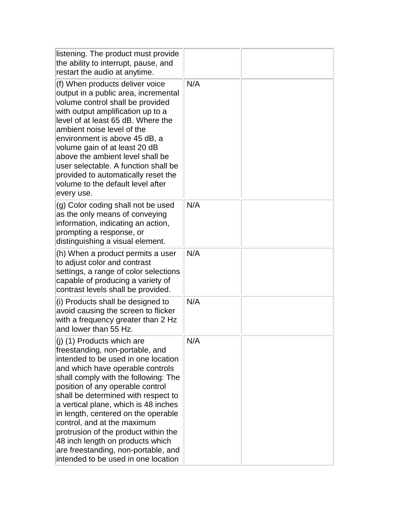| listening. The product must provide<br>the ability to interrupt, pause, and<br>restart the audio at anytime.                                                                                                                                                                                                                                                                                                                                                                                                                        |     |  |
|-------------------------------------------------------------------------------------------------------------------------------------------------------------------------------------------------------------------------------------------------------------------------------------------------------------------------------------------------------------------------------------------------------------------------------------------------------------------------------------------------------------------------------------|-----|--|
| (f) When products deliver voice<br>output in a public area, incremental<br>volume control shall be provided<br>with output amplification up to a<br>level of at least 65 dB. Where the<br>ambient noise level of the<br>environment is above 45 dB, a<br>volume gain of at least 20 dB<br>above the ambient level shall be<br>user selectable. A function shall be<br>provided to automatically reset the<br>volume to the default level after<br>every use.                                                                        | N/A |  |
| (g) Color coding shall not be used<br>as the only means of conveying<br>information, indicating an action,<br>prompting a response, or<br>distinguishing a visual element.                                                                                                                                                                                                                                                                                                                                                          | N/A |  |
| (h) When a product permits a user<br>to adjust color and contrast<br>settings, a range of color selections<br>capable of producing a variety of<br>contrast levels shall be provided.                                                                                                                                                                                                                                                                                                                                               | N/A |  |
| (i) Products shall be designed to<br>avoid causing the screen to flicker<br>with a frequency greater than 2 Hz<br>and lower than 55 Hz.                                                                                                                                                                                                                                                                                                                                                                                             | N/A |  |
| (j) (1) Products which are<br>freestanding, non-portable, and<br>intended to be used in one location<br>and which have operable controls<br>shall comply with the following: The<br>position of any operable control<br>shall be determined with respect to<br>a vertical plane, which is 48 inches<br>in length, centered on the operable<br>control, and at the maximum<br>protrusion of the product within the<br>48 inch length on products which<br>are freestanding, non-portable, and<br>intended to be used in one location | N/A |  |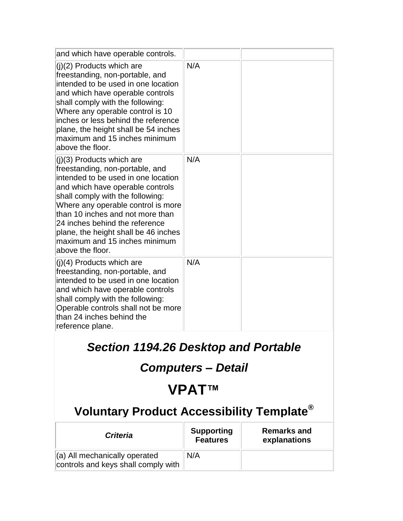| and which have operable controls.                                                                                                                                                                                                                                                                                                                                                      |     |  |
|----------------------------------------------------------------------------------------------------------------------------------------------------------------------------------------------------------------------------------------------------------------------------------------------------------------------------------------------------------------------------------------|-----|--|
| $(i)(2)$ Products which are<br>freestanding, non-portable, and<br>intended to be used in one location<br>and which have operable controls<br>shall comply with the following:<br>Where any operable control is 10<br>inches or less behind the reference<br>plane, the height shall be 54 inches<br>maximum and 15 inches minimum<br>above the floor.                                  | N/A |  |
| $(j)(3)$ Products which are<br>freestanding, non-portable, and<br>intended to be used in one location<br>and which have operable controls<br>shall comply with the following:<br>Where any operable control is more<br>than 10 inches and not more than<br>24 inches behind the reference<br>plane, the height shall be 46 inches<br>maximum and 15 inches minimum<br>above the floor. | N/A |  |
| $(i)(4)$ Products which are<br>freestanding, non-portable, and<br>intended to be used in one location<br>and which have operable controls<br>shall comply with the following:<br>Operable controls shall not be more<br>than 24 inches behind the<br>reference plane.                                                                                                                  | N/A |  |

# *Section 1194.26 Desktop and Portable*

### *Computers – Detail*

# **VPAT™**

| <b>Criteria</b>                                                                  | <b>Supporting</b><br><b>Features</b> | <b>Remarks and</b><br>explanations |
|----------------------------------------------------------------------------------|--------------------------------------|------------------------------------|
| $\parallel$ (a) All mechanically operated<br>controls and keys shall comply with | N/A                                  |                                    |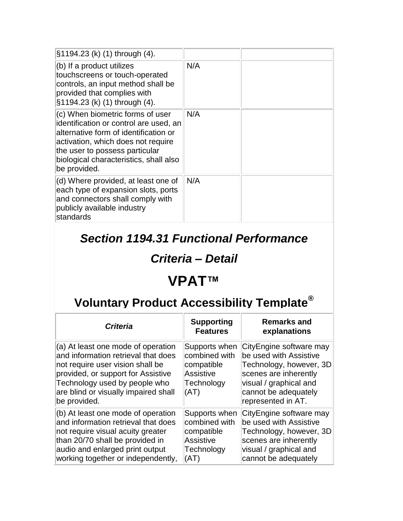| §1194.23 (k) (1) through (4).                                                                                                                                                                                                                           |     |  |
|---------------------------------------------------------------------------------------------------------------------------------------------------------------------------------------------------------------------------------------------------------|-----|--|
| $ $ (b) If a product utilizes<br>touchscreens or touch-operated<br>controls, an input method shall be<br>provided that complies with<br>§1194.23 (k) (1) through (4).                                                                                   | N/A |  |
| $(c)$ When biometric forms of user<br>identification or control are used, an<br>alternative form of identification or<br>activation, which does not require<br>the user to possess particular<br>biological characteristics, shall also<br>be provided. | N/A |  |
| (d) Where provided, at least one of<br>each type of expansion slots, ports<br>and connectors shall comply with<br>publicly available industry<br>standards                                                                                              | N/A |  |

### *Section 1194.31 Functional Performance*

#### *Criteria – Detail*

# **VPAT™**

| <b>Criteria</b>                                                                                                                                                                                                                              | <b>Supporting</b><br><b>Features</b>                                                   | <b>Remarks and</b><br>explanations                                                                                                                                            |
|----------------------------------------------------------------------------------------------------------------------------------------------------------------------------------------------------------------------------------------------|----------------------------------------------------------------------------------------|-------------------------------------------------------------------------------------------------------------------------------------------------------------------------------|
| (a) At least one mode of operation<br>and information retrieval that does<br>not require user vision shall be<br>provided, or support for Assistive<br>Technology used by people who<br>are blind or visually impaired shall<br>be provided. | Supports when<br>combined with<br>compatible<br><b>Assistive</b><br>Technology<br>(AT) | CityEngine software may<br>be used with Assistive<br>Technology, however, 3D<br>scenes are inherently<br>visual / graphical and<br>cannot be adequately<br>represented in AT. |
| (b) At least one mode of operation<br>and information retrieval that does<br>not require visual acuity greater<br>than 20/70 shall be provided in<br>audio and enlarged print output<br>working together or independently,                   | Supports when<br>combined with<br>compatible<br><b>Assistive</b><br>Technology<br>(AT) | CityEngine software may<br>be used with Assistive<br>Technology, however, 3D<br>scenes are inherently<br>visual / graphical and<br>cannot be adequately                       |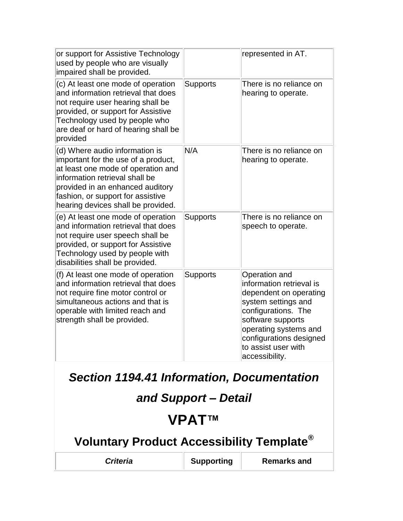| or support for Assistive Technology<br>used by people who are visually<br>impaired shall be provided.                                                                                                                                                        |                 | represented in AT.                                                                                                                                                                                                                  |
|--------------------------------------------------------------------------------------------------------------------------------------------------------------------------------------------------------------------------------------------------------------|-----------------|-------------------------------------------------------------------------------------------------------------------------------------------------------------------------------------------------------------------------------------|
| (c) At least one mode of operation<br>and information retrieval that does<br>not require user hearing shall be<br>provided, or support for Assistive<br>Technology used by people who<br>are deaf or hard of hearing shall be<br>provided                    | <b>Supports</b> | There is no reliance on<br>hearing to operate.                                                                                                                                                                                      |
| (d) Where audio information is<br>important for the use of a product,<br>at least one mode of operation and<br>information retrieval shall be<br>provided in an enhanced auditory<br>fashion, or support for assistive<br>hearing devices shall be provided. | N/A             | There is no reliance on<br>hearing to operate.                                                                                                                                                                                      |
| (e) At least one mode of operation<br>and information retrieval that does<br>not require user speech shall be<br>provided, or support for Assistive<br>Technology used by people with<br>disabilities shall be provided.                                     | <b>Supports</b> | There is no reliance on<br>speech to operate.                                                                                                                                                                                       |
| (f) At least one mode of operation<br>and information retrieval that does<br>not require fine motor control or<br>simultaneous actions and that is<br>operable with limited reach and<br>strength shall be provided.                                         | <b>Supports</b> | Operation and<br>information retrieval is<br>dependent on operating<br>system settings and<br>configurations. The<br>software supports<br>operating systems and<br>configurations designed<br>to assist user with<br>accessibility. |

*Section 1194.41 Information, Documentation* 

# *and Support – Detail*

### **VPAT™**

**Voluntary Product Accessibility Template®**

**Criteria Supporting Remarks and**